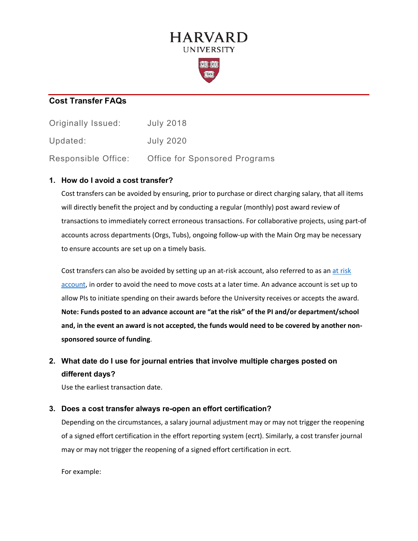# **HARVARD UNIVERSITY**



### **Cost Transfer FAQs**

| Originally Issued:  | <b>July 2018</b>              |
|---------------------|-------------------------------|
| Updated:            | <b>July 2020</b>              |
| Responsible Office: | Office for Sponsored Programs |

#### **1. How do I avoid a cost transfer?**

Cost transfers can be avoided by ensuring, prior to purchase or direct charging salary, that all items will directly benefit the project and by conducting a regular (monthly) post award review of transactions to immediately correct erroneous transactions. For collaborative projects, using part-of accounts across departments (Orgs, Tubs), ongoing follow-up with the Main Org may be necessary to ensure accounts are set up on a timely basis.

Cost transfers can also be avoided by setting up an at-risk account, also referred to as an [at risk](https://osp.finance.harvard.edu/at-risk-account-guidance) [account,](https://osp.finance.harvard.edu/at-risk-account-guidance) in order to avoid the need to move costs at a later time. An advance account is set up to allow PIs to initiate spending on their awards before the University receives or accepts the award. **Note: Funds posted to an advance account are "at the risk" of the PI and/or department/school and, in the event an award is not accepted, the funds would need to be covered by another nonsponsored source of funding**.

# **2. What date do I use for journal entries that involve multiple charges posted on different days?**

Use the earliest transaction date.

#### **3. Does a cost transfer always re-open an effort certification?**

Depending on the circumstances, a salary journal adjustment may or may not trigger the reopening of a signed effort certification in the effort reporting system (ecrt). Similarly, a cost transfer journal may or may not trigger the reopening of a signed effort certification in ecrt.

For example: